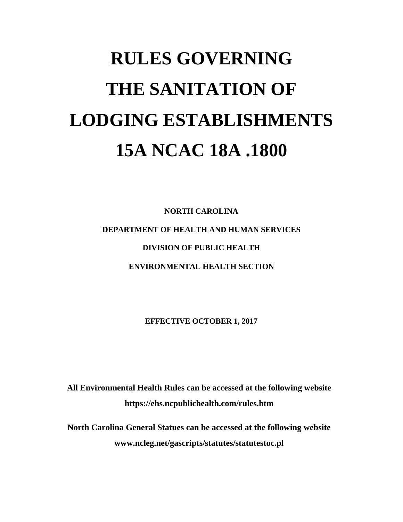# **RULES GOVERNING THE SANITATION OF LODGING ESTABLISHMENTS 15A NCAC 18A .1800**

**NORTH CAROLINA DEPARTMENT OF HEALTH AND HUMAN SERVICES DIVISION OF PUBLIC HEALTH ENVIRONMENTAL HEALTH SECTION**

**EFFECTIVE OCTOBER 1, 2017**

**All Environmental Health Rules can be accessed at the following website https://ehs.ncpublichealth.com/rules.htm**

**North Carolina General Statues can be accessed at the following website [www.ncleg.net/gascripts/statutes/statutestoc.pl](http://www.ncleg.net/gascripts/statutes/statutestoc.pl)**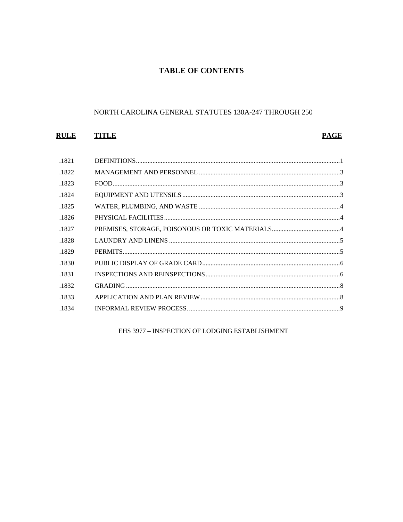# **TABLE OF CONTENTS**

## NORTH CAROLINA GENERAL STATUTES 130A-247 THROUGH 250

# **RULE TITLE**

# **PAGE**

| .1821 |  |
|-------|--|
| .1822 |  |
| .1823 |  |
| .1824 |  |
| .1825 |  |
| .1826 |  |
| .1827 |  |
| .1828 |  |
| .1829 |  |
| .1830 |  |
| .1831 |  |
| .1832 |  |
|       |  |
| .1833 |  |

EHS 3977 - INSPECTION OF LODGING ESTABLISHMENT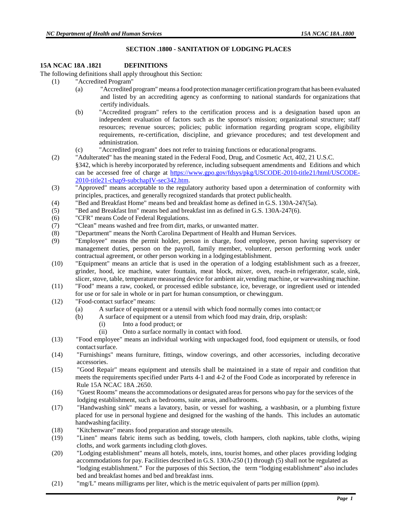## **SECTION .1800 - SANITATION OF LODGING PLACES**

## **15A NCAC 18A .1821 DEFINITIONS**

The following definitions shall apply throughout this Section:

- (1) "Accredited Program"
	- (a) "Accredited program" means a food protectionmanager certification programthat has been evaluated and listed by an accrediting agency as conforming to national standards for organizations that certify individuals.
	- (b) "Accredited program" refers to the certification process and is a designation based upon an independent evaluation of factors such as the sponsor's mission; organizational structure; staff resources; revenue sources; policies; public information regarding program scope, eligibility requirements, re-certification, discipline, and grievance procedures; and test development and administration.
	- (c) "Accredited program" does not refer to training functions or educationalprograms.
- (2) "Adulterated" has the meaning stated in the Federal Food, Drug, and Cosmetic Act, 402, 21 U.S.C. §342, which is hereby incorporated by reference, including subsequent amendments and Editions and which can be accessed free of charge at [https://www.gpo.gov/fdsys/pkg/USCODE-2010-title21/html/USCODE-](https://www.gpo.gov/fdsys/pkg/USCODE-2010-title21/html/USCODE-2010-title21-chap9-subchapIV-sec342.htm)[2010-title21-chap9-subchapIV-sec342.htm.](https://www.gpo.gov/fdsys/pkg/USCODE-2010-title21/html/USCODE-2010-title21-chap9-subchapIV-sec342.htm)
- (3) "Approved" means acceptable to the regulatory authority based upon a determination of conformity with principles, practices, and generally recognized standards that protect publichealth.
- (4) "Bed and Breakfast Home" means bed and breakfast home as defined in G.S. 130A-247(5a).
- (5) "Bed and Breakfast Inn" means bed and breakfast inn as defined in G.S. 130A-247(6).
- (6) "CFR" means Code of Federal Regulations.
- (7) "Clean" means washed and free from dirt, marks, or unwanted matter.
- (8) "Department" means the North Carolina Department of Health and Human Services.
- (9) "Employee" means the permit holder, person in charge, food employee, person having supervisory or management duties, person on the payroll, family member, volunteer, person performing work under contractual agreement, or other person working in a lodgingestablishment.
- (10) "Equipment" means an article that is used in the operation of a lodging establishment such as a freezer, grinder, hood, ice machine, water fountain, meat block, mixer, oven, reach-in refrigerator, scale, sink, slicer, stove, table, temperature measuring device for ambient air,vending machine, or warewashing machine.
- (11) "Food" means a raw, cooked, or processed edible substance, ice, beverage, or ingredient used or intended for use or for sale in whole or in part for human consumption, or chewinggum.
- (12) "Food-contact surface" means:
	- (a) A surface of equipment or a utensil with which food normally comes into contact;or
	- (b) A surface of equipment or a utensil from which food may drain, drip, orsplash:
		- (i) Into a food product; or
			- (ii) Onto a surface normally in contact with food.
- (13) "Food employee" means an individual working with unpackaged food, food equipment or utensils, or food contact surface.
- (14) "Furnishings" means furniture, fittings, window coverings, and other accessories, including decorative accessories.
- (15) "Good Repair" means equipment and utensils shall be maintained in a state of repair and condition that meets the requirements specified under Parts 4-1 and 4-2 of the Food Code as incorporated by reference in Rule 15A NCAC 18A .2650.
- (16) "Guest Rooms" means the accommodations or designated areasfor persons who pay for the services of the lodging establishment, such as bedrooms, suite areas, and bathrooms.
- (17) "Handwashing sink" means a lavatory, basin, or vessel for washing, a washbasin, or a plumbing fixture placed for use in personal hygiene and designed for the washing of the hands. This includes an automatic handwashing facility.
- (18) "Kitchenware" means food preparation and storage utensils.
- (19) "Linen" means fabric items such as bedding, towels, cloth hampers, cloth napkins, table cloths, wiping cloths, and work garments including cloth gloves.
- (20) "Lodging establishment" means all hotels, motels, inns, tourist homes, and other places providing lodging accommodations for pay. Facilities described in G.S. 130A-250 (1) through (5) shall not be regulated as "lodging establishment." For the purposes of this Section, the term "lodging establishment" also includes bed and breakfast homes and bed and breakfast inns.
- (21) "mg/L" means milligrams per liter, which is the metric equivalent of parts per million (ppm).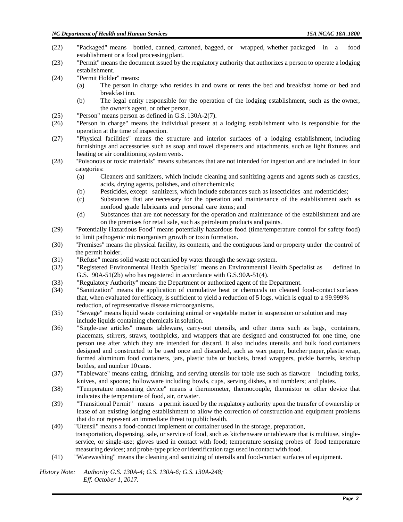- (22) "Packaged" means bottled, canned, cartoned, bagged, or wrapped, whether packaged in a food establishment or a food processing plant.
- (23) "Permit" means the document issued by the regulatory authority that authorizes a person to operate a lodging establishment.
- (24) "Permit Holder" means:
	- (a) The person in charge who resides in and owns or rents the bed and breakfast home or bed and breakfast inn.
	- (b) The legal entity responsible for the operation of the lodging establishment, such as the owner, the owner's agent, or other person.
- (25) "Person" means person as defined in G.S. 130A-2(7).
- (26) "Person in charge" means the individual present at a lodging establishment who is responsible for the operation at the time of inspection.
- (27) "Physical facilities" means the structure and interior surfaces of a lodging establishment, including furnishings and accessories such as soap and towel dispensers and attachments, such as light fixtures and heating or air conditioning system vents.
- (28) "Poisonous or toxic materials" means substances that are not intended for ingestion and are included in four categories:
	- (a) Cleaners and sanitizers, which include cleaning and sanitizing agents and agents such as caustics, acids, drying agents, polishes, and other chemicals;
	- (b) Pesticides, except sanitizers, which include substances such as insecticides and rodenticides;
	- (c) Substances that are necessary for the operation and maintenance of the establishment such as nonfood grade lubricants and personal care items; and
	- (d) Substances that are not necessary for the operation and maintenance of the establishment and are on the premises for retail sale, such as petroleum products and paints.
- (29) "Potentially Hazardous Food" means potentially hazardous food (time/temperature control for safety food) to limit pathogenic microorganism growth or toxin formation.
- (30) "Premises" means the physical facility, its contents, and the contiguous land or property under the control of the permit holder.
- (31) "Refuse" means solid waste not carried by water through the sewage system.
- (32) "Registered Environmental Health Specialist" means an Environmental Health Specialist as defined in G.S. 90A-51(2b) who has registered in accordance with G.S.90A-51(4).
- (33) "Regulatory Authority" means the Department or authorized agent of the Department.
- (34) "Sanitization" means the application of cumulative heat or chemicals on cleaned food-contact surfaces that, when evaluated for efficacy, is sufficient to yield a reduction of 5 logs, which is equal to a 99.999% reduction, of representative diseasemicroorganisms.
- (35) "Sewage" means liquid waste containing animal or vegetable matter in suspension or solution and may include liquids containing chemicals in solution.
- (36) "Single-use articles" means tableware, carry-out utensils, and other items such as bags, containers, placemats, stirrers, straws, toothpicks, and wrappers that are designed and constructed for one time, one person use after which they are intended for discard. It also includes utensils and bulk food containers designed and constructed to be used once and discarded, such as wax paper, butcher paper, plastic wrap, formed aluminum food containers, jars, plastic tubs or buckets, bread wrappers, pickle barrels, ketchup bottles, and number 10 cans.
- (37) "Tableware" means eating, drinking, and serving utensils for table use such as flatware including forks, knives, and spoons; hollowware including bowls, cups, serving dishes, and tumblers; and plates.
- (38) "Temperature measuring device" means a thermometer, thermocouple, thermistor or other device that indicates the temperature of food, air, or water.
- (39) "Transitional Permit" means a permit issued by the regulatory authority upon the transfer of ownership or lease of an existing lodging establishment to allow the correction of construction and equipment problems that do not represent an immediate threat to publichealth.
- (40) "Utensil" means a food-contact implement or container used in the storage, preparation, transportation, dispensing, sale, or service of food, such as kitchenware or tableware that is multiuse, singleservice, or single-use; gloves used in contact with food; temperature sensing probes of food temperature measuring devices; and probe-type price or identification tags used in contact with food.
- (41) "Warewashing" means the cleaning and sanitizing of utensils and food-contact surfaces of equipment.

 *History Note: Authority G.S. 130A-4; G.S. 130A-6; G.S. 130A-248; Eff. October 1, 2017.*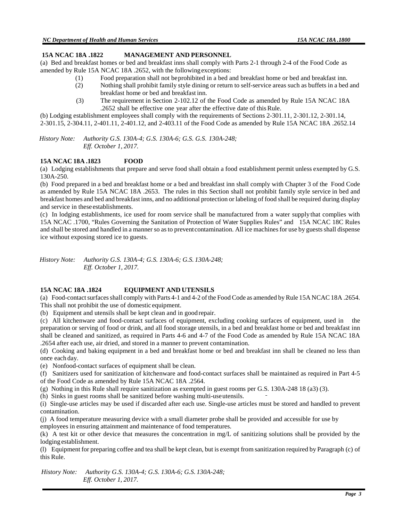#### **15A NCAC 18A .1822 MANAGEMENT AND PERSONNEL**

(a) Bed and breakfast homes or bed and breakfast inns shall comply with Parts 2-1 through 2-4 of the Food Code as amended by Rule 15A NCAC 18A .2652, with the followingexceptions:

- (1) Food preparation shall not beprohibited in a bed and breakfast home or bed and breakfast inn.
- (2) Nothing shall prohibit family style dining or return to self-service areas such as buffets in a bed and breakfast home or bed and breakfast inn.
- (3) The requirement in Section 2-102.12 of the Food Code as amended by Rule 15A NCAC 18A .2652 shall be effective one year after the effective date of thisRule.

(b) Lodging establishment employees shall comply with the requirements of Sections 2-301.11, 2-301.12, 2-301.14, 2-301.15, 2-304.11, 2-401.11, 2-401.12, and 2-403.11 of the Food Code as amended by Rule 15A NCAC 18A .2652.14

 *History Note: Authority G.S. 130A-4; G.S. 130A-6; G.S. G.S. 130A-248; Eff. October 1, 2017.*

#### **15A NCAC 18A .1823 FOOD**

(a) Lodging establishments that prepare and serve food shall obtain a food establishment permit unless exempted by G.S. 130A-250.

(b) Food prepared in a bed and breakfast home or a bed and breakfast inn shall comply with Chapter 3 of the Food Code as amended by Rule 15A NCAC 18A .2653. The rules in this Section shall not prohibit family style service in bed and breakfast homes and bed and breakfast inns, and no additional protection or labeling of food shall be required during display and service in these establishments.

(c) In lodging establishments, ice used for room service shall be manufactured from a water supplythat complies with 15A NCAC .1700, "Rules Governing the Sanitation of Protection of Water Supplies Rules" and 15A NCAC 18C Rules and shall be stored and handled in a manner so as to prevent contamination. All ice machines for use by guests shall dispense ice without exposing stored ice to guests.

 *History Note: Authority G.S. 130A-4; G.S. 130A-6; G.S. 130A-248; Eff. October 1, 2017.*

## **15A NCAC 18A .1824 EQUIPMENT AND UTENSILS**

(a) Food-contact surfaces shall comply with Parts 4-1 and 4-2 of the Food Code as amended by Rule 15A NCAC 18A .2654. This shall not prohibit the use of domestic equipment.

(b) Equipment and utensils shall be kept clean and in good repair.

(c) All kitchenware and food-contact surfaces of equipment, excluding cooking surfaces of equipment, used in the preparation or serving of food or drink, and all food storage utensils, in a bed and breakfast home or bed and breakfast inn shall be cleaned and sanitized, as required in Parts 4-6 and 4-7 of the Food Code as amended by Rule 15A NCAC 18A .2654 after each use, air dried, and stored in a manner to prevent contamination.

(d) Cooking and baking equipment in a bed and breakfast home or bed and breakfast inn shall be cleaned no less than once each day.

(e) Nonfood-contact surfaces of equipment shall be clean.

(f) Sanitizers used for sanitization of kitchenware and food-contact surfaces shall be maintained as required in Part 4-5 of the Food Code as amended by Rule 15A NCAC 18A .2564.

(g) Nothing in this Rule shall require sanitization as exempted in guest rooms per G.S. 130A-248 18 (a3) (3).

(h) Sinks in guest rooms shall be sanitized before washing multi-useutensils.

(i) Single-use articles may be used if discarded after each use. Single-use articles must be stored and handled to prevent contamination.

(j) A food temperature measuring device with a small diameter probe shall be provided and accessible for use by employees in ensuring attainment and maintenance of food temperatures.

(k) A test kit or other device that measures the concentration in mg/L of sanitizing solutions shall be provided by the lodging establishment.

(l) Equipment for preparing coffee and tea shall be kept clean, but is exempt from sanitization required by Paragraph (c) of this Rule.

 *History Note: Authority G.S. 130A-4; G.S. 130A-6; G.S. 130A-248; Eff. October 1, 2017.*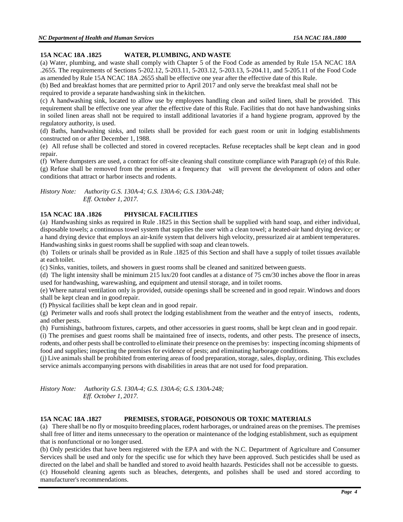## **15A NCAC 18A .1825 WATER, PLUMBING, AND WASTE**

(a) Water, plumbing, and waste shall comply with Chapter 5 of the Food Code as amended by Rule 15A NCAC 18A .2655. The requirements of Sections 5-202.12, 5-203.11, 5-203.12, 5-203.13, 5-204.11, and 5-205.11 of the Food Code as amended by Rule 15A NCAC 18A .2655 shall be effective one year after the effective date of this Rule.

(b) Bed and breakfast homes that are permitted prior to April 2017 and only serve the breakfast meal shall not be required to provide a separate handwashing sink in thekitchen.

(c) A handwashing sink, located to allow use by employees handling clean and soiled linen, shall be provided. This requirement shall be effective one year after the effective date of this Rule. Facilities that do not have handwashing sinks in soiled linen areas shall not be required to install additional lavatories if a hand hygiene program, approved by the regulatory authority, is used.

(d) Baths, handwashing sinks, and toilets shall be provided for each guest room or unit in lodging establishments constructed on or after December 1, 1988.

(e) All refuse shall be collected and stored in covered receptacles. Refuse receptacles shall be kept clean and in good repair.

(f) Where dumpsters are used, a contract for off-site cleaning shall constitute compliance with Paragraph (e) of this Rule. (g) Refuse shall be removed from the premises at a frequency that will prevent the development of odors and other conditions that attract or harbor insects and rodents.

*History Note: Authority G.S. 130A-4; G.S. 130A-6; G.S. 130A-248; Eff. October 1, 2017.*

# **15A NCAC 18A .1826 PHYSICAL FACILITIES**

(a) Handwashing sinks as required in Rule .1825 in this Section shall be supplied with hand soap, and either individual, disposable towels; a continuous towel system that supplies the user with a clean towel; a heated-air hand drying device; or a hand drying device that employs an air-knife system that delivers high velocity, pressurized air at ambient temperatures. Handwashing sinks in guest rooms shall be supplied with soap and clean towels.

(b) Toilets or urinals shall be provided as in Rule .1825 of this Section and shall have a supply of toilet tissues available at each toilet.

(c) Sinks, vanities, toilets, and showers in guest rooms shall be cleaned and sanitized between guests.

(d) The light intensity shall be minimum 215 lux/20 foot candles at a distance of 75 cm/30 inches above the floor in areas used for handwashing, warewashing, and equipment and utensil storage, and in toilet rooms.

(e) Where natural ventilation only is provided, outside openings shall be screened and in good repair. Windows and doors shall be kept clean and in good repair.

(f) Physical facilities shall be kept clean and in good repair.

(g) Perimeter walls and roofs shall protect the lodging establishment from the weather and the entryof insects, rodents, and other pests.

(h) Furnishings, bathroom fixtures, carpets, and other accessories in guest rooms, shall be kept clean and in good repair.

(i) The premises and guest rooms shall be maintained free of insects, rodents, and other pests. The presence of insects, rodents, and other pestsshall be controlled to eliminate their presence on the premises by: inspecting incoming shipments of food and supplies; inspecting the premises for evidence of pests; and eliminating harborage conditions.

(j) Live animals shall be prohibited from entering areas of food preparation, storage, sales, display, ordining. This excludes service animals accompanying persons with disabilities in areas that are not used for food preparation.

*History Note: Authority G.S. 130A-4; G.S. 130A-6; G.S. 130A-248; Eff. October 1, 2017.*

#### **15A NCAC 18A .1827 PREMISES, STORAGE, POISONOUS OR TOXIC MATERIALS**

(a) There shall be no fly or mosquito breeding places, rodent harborages, or undrained areas on the premises. The premises shall free of litter and items unnecessary to the operation or maintenance of the lodging establishment, such as equipment that is nonfunctional or no longer used.

(b) Only pesticides that have been registered with the EPA and with the N.C. Department of Agriculture and Consumer Services shall be used and only for the specific use for which they have been approved. Such pesticides shall be used as directed on the label and shall be handled and stored to avoid health hazards. Pesticides shall not be accessible to guests. (c) Household cleaning agents such as bleaches, detergents, and polishes shall be used and stored according to

manufacturer's recommendations.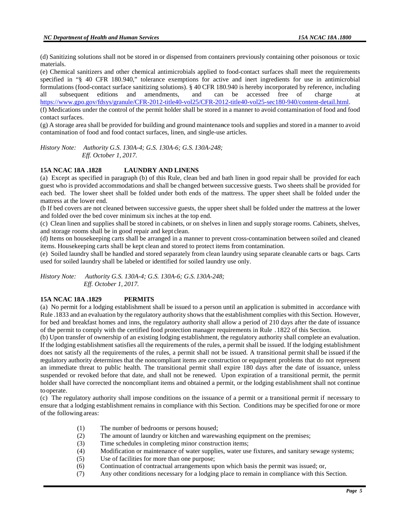(d) Sanitizing solutions shall not be stored in or dispensed from containers previously containing other poisonous or toxic materials.

(e) Chemical sanitizers and other chemical antimicrobials applied to food-contact surfaces shall meet the requirements specified in "§ 40 CFR 180.940," tolerance exemptions for active and inert ingredients for use in antimicrobial formulations (food-contact surface sanitizing solutions). § 40 CFR 180.940 is hereby incorporated by reference, including all subsequent editions and amendments, and can be accessed free of charge at all subsequent editions and amendments, and can be accessed free of charge at [https://www.gpo.gov/fdsys/granule/CFR-2012-title40-vol25/CFR-2012-title40-vol25-sec180-940/content-detail.html.](https://www.gpo.gov/fdsys/granule/CFR-2012-title40-vol25/CFR-2012-title40-vol25-sec180-940/content-detail.html)

(f) Medications under the control of the permit holder shall be stored in a manner to avoid contamination of food and food contact surfaces.

(g) A storage area shall be provided for building and ground maintenance tools and supplies and stored in a manner to avoid contamination of food and food contact surfaces, linen, and single-use articles.

*History Note: Authority G.S. 130A-4; G.S. 130A-6; G.S. 130A-248; Eff. October 1, 2017.*

## **15A NCAC 18A .1828 LAUNDRY AND LINENS**

(a) Except as specified in paragraph (b) of this Rule, clean bed and bath linen in good repair shall be provided for each guest who is provided accommodations and shall be changed between successive guests. Two sheets shall be provided for each bed. The lower sheet shall be folded under both ends of the mattress. The upper sheet shall be folded under the mattress at the lower end.

(b If bed covers are not cleaned between successive guests, the upper sheet shall be folded under the mattress at the lower and folded over the bed cover minimum six inches at the top end.

(c) Clean linen and supplies shall be stored in cabinets, or on shelves in linen and supply storage rooms. Cabinets, shelves, and storage rooms shall be in good repair and kept clean.

(d) Items on housekeeping carts shall be arranged in a manner to prevent cross-contamination between soiled and cleaned items. Housekeeping carts shall be kept clean and stored to protect items from contamination.

(e) Soiled laundry shall be handled and stored separately from clean laundry using separate cleanable carts or bags. Carts used for soiled laundry shall be labeled or identified for soiled laundry use only.

*History Note: Authority G.S. 130A-4; G.S. 130A-6; G.S. 130A-248; Eff. October 1, 2017.*

#### **15A NCAC 18A .1829 PERMITS**

(a) No permit for a lodging establishment shall be issued to a person until an application is submitted in accordance with Rule .1833 and an evaluation by the regulatory authority showsthat the establishment complies with this Section. However, for bed and breakfast homes and inns, the regulatory authority shall allow a period of 210 days after the date of issuance of the permit to comply with the certified food protection manager requirements in Rule .1822 of this Section.

(b) Upon transfer of ownership of an existing lodging establishment, the regulatory authority shall complete an evaluation. If the lodging establishment satisfies all the requirements of the rules, a permit shall be issued. If the lodging establishment does not satisfy all the requirements of the rules, a permit shall not be issued. A transitional permit shall be issued if the regulatory authority determines that the noncompliant items are construction or equipment problems that do not represent an immediate threat to public health. The transitional permit shall expire 180 days after the date of issuance, unless suspended or revoked before that date, and shall not be renewed. Upon expiration of a transitional permit, the permit holder shall have corrected the noncompliant items and obtained a permit, or the lodging establishment shall not continue to operate.

(c) The regulatory authority shall impose conditions on the issuance of a permit or a transitional permit if necessary to ensure that a lodging establishment remains in compliance with this Section. Conditions may be specified forone or more of the following areas:

- (1) The number of bedrooms or persons housed;
- (2) The amount of laundry or kitchen and warewashing equipment on the premises;
- (3) Time schedules in completing minor construction items;
- (4) Modification or maintenance of water supplies, water use fixtures, and sanitary sewage systems;
- (5) Use of facilities for more than one purpose;
- (6) Continuation of contractual arrangements upon which basis the permit was issued; or,
- (7) Any other conditions necessary for a lodging place to remain in compliance with this Section.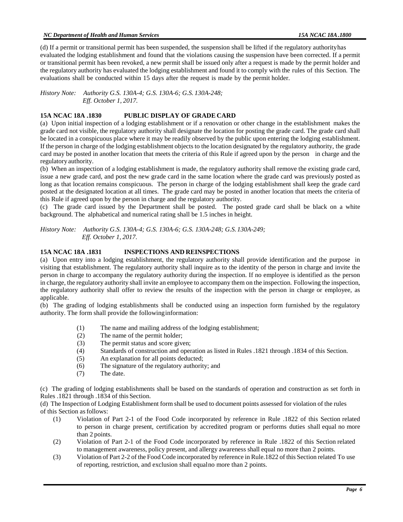(d) If a permit or transitional permit has been suspended, the suspension shall be lifted if the regulatory authorityhas evaluated the lodging establishment and found that the violations causing the suspension have been corrected. If a permit or transitional permit has been revoked, a new permit shall be issued only after a request is made by the permit holder and the regulatory authority has evaluated the lodging establishment and found it to comply with the rules of this Section. The evaluations shall be conducted within 15 days after the request is made by the permit holder.

*History Note: Authority G.S. 130A-4; G.S. 130A-6; G.S. 130A-248; Eff. October 1, 2017.*

## **15A NCAC 18A .1830 PUBLIC DISPLAY OF GRADE CARD**

(a) Upon initial inspection of a lodging establishment or if a renovation or other change in the establishment makes the grade card not visible, the regulatory authority shall designate the location for posting the grade card. The grade card shall be located in a conspicuous place where it may be readily observed by the public upon entering the lodging establishment. If the person in charge of the lodging establishment objects to the location designated by the regulatory authority, the grade card may be posted in another location that meets the criteria of this Rule if agreed upon by the person in charge and the regulatory authority.

(b) When an inspection of a lodging establishment is made, the regulatory authority shall remove the existing grade card, issue a new grade card, and post the new grade card in the same location where the grade card was previously posted as long as that location remains conspicuous. The person in charge of the lodging establishment shall keep the grade card posted at the designated location at all times. The grade card may be posted in another location that meets the criteria of this Rule if agreed upon by the person in charge and the regulatory authority.

(c) The grade card issued by the Department shall be posted. The posted grade card shall be black on a white background. The alphabetical and numerical rating shall be 1.5 inches in height.

*History Note: Authority G.S. 130A-4; G.S. 130A-6; G.S. 130A-248; G.S.130A-249; Eff. October 1, 2017.*

## **15A NCAC 18A .1831 INSPECTIONS AND REINSPECTIONS**

(a) Upon entry into a lodging establishment, the regulatory authority shall provide identification and the purpose in visiting that establishment. The regulatory authority shall inquire as to the identity of the person in charge and invite the person in charge to accompany the regulatory authority during the inspection. If no employee is identified as the person in charge, the regulatory authority shall invite an employee to accompany them on the inspection. Following the inspection, the regulatory authority shall offer to review the results of the inspection with the person in charge or employee, as applicable.

(b) The grading of lodging establishments shall be conducted using an inspection form furnished by the regulatory authority. The form shall provide the followinginformation:

- (1) The name and mailing address of the lodging establishment;
- (2) The name of the permit holder;
- (3) The permit status and score given;
- (4) Standards of construction and operation as listed in Rules .1821 through .1834 of this Section.
- (5) An explanation for all points deducted;
- (6) The signature of the regulatory authority; and
- (7) The date.

(c) The grading of lodging establishments shall be based on the standards of operation and construction as set forth in Rules .1821 through .1834 of this Section.

(d) The Inspection of Lodging Establishment form shall be used to document points assessed for violation of the rules of this Section asfollows:

- (1) Violation of Part 2-1 of the Food Code incorporated by reference in Rule .1822 of this Section related to person in charge present, certification by accredited program or performs duties shall equal no more than 2 points.
- (2) Violation of Part 2-1 of the Food Code incorporated by reference in Rule .1822 of this Section related to management awareness, policy present, and allergy awareness shall equal no more than 2 points.
- (3) Violation of Part 2-2 of the Food Code incorporated by reference in Rule.1822 of this Section related To use of reporting, restriction, and exclusion shall equalno more than 2 points.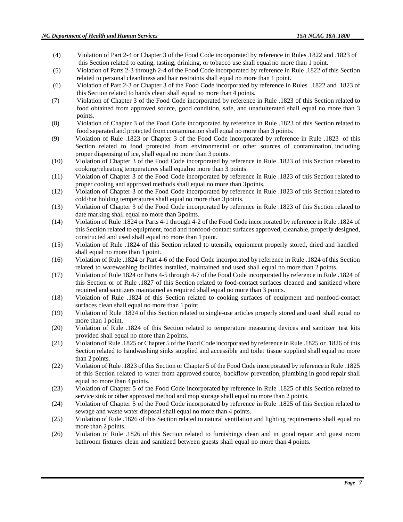- (4) Violation of Part 2-4 or Chapter 3 of the Food Code incorporated by reference in Rules.1822 and .1823 of this Section related to eating, tasting, drinking, or tobacco use shall equal no more than 1 point.
- (5) Violation of Parts 2-3 through 2-4 of the Food Code incorporated by reference in Rule .1822 of this Section related to personal cleanliness and hair restraints shall equal no more than 1 point.
- (6) Violation of Part 2-3 or Chapter 3 of the Food Code incorporated by reference in Rules .1822 and .1823 of this Section related to hands clean shall equal no more than 4 points.
- (7) Violation of Chapter 3 of the Food Code incorporated by reference in Rule .1823 of this Section related to food obtained from approved source, good condition, safe, and unadulterated shall equal no more than 3 points.
- (8) Violation of Chapter 3 of the Food Code incorporated by reference in Rule .1823 of this Section related to food separated and protected from contamination shall equal no more than 3 points.
- (9) Violation of Rule .1823 or Chapter 3 of the Food Code incorporated by reference in Rule .1823 of this Section related to food protected from environmental or other sources of contamination, including proper dispensing of ice, shall equal no more than 3points.
- (10) Violation of Chapter 3 of the Food Code incorporated by reference in Rule .1823 of this Section related to cooking/reheating temperatures shall equalno more than 3 points.
- (11) Violation of Chapter 3 of the Food Code incorporated by reference in Rule .1823 of this Section related to proper cooling and approved methods shall equal no more than 3points.
- (12) Violation of Chapter 3 of the Food Code incorporated by reference in Rule .1823 of this Section related to cold/hot holding temperatures shall equal no more than 3points.
- (13) Violation of Chapter 3 of the Food Code incorporated by reference in Rule .1823 of this Section related to date marking shall equal no more than 3points.
- (14) Violation of Rule .1824 or Parts 4-1 through 4-2 of the Food Code incorporated by reference in Rule .1824 of this Section related to equipment, food and nonfood-contact surfaces approved, cleanable, properly designed, constructed and used shall equal no more than 1point.
- (15) Violation of Rule .1824 of this Section related to utensils, equipment properly stored, dried and handled shall equal no more than 1 point.
- (16) Violation of Rule .1824 or Part 4-6 of the Food Code incorporated by reference in Rule .1824 of this Section related to warewashing facilities installed, maintained and used shall equal no more than 2 points.
- (17) Violation of Rule 1824 or Parts 4-5 through 4-7 of the Food Code incorporated by reference in Rule .1824 of this Section or of Rule .1827 of this Section related to food-contact surfaces cleaned and sanitized where required and sanitizers maintained as required shall equal no more than 3 points.
- (18) Violation of Rule .1824 of this Section related to cooking surfaces of equipment and nonfood-contact surfaces clean shall equal no more than 1 point.
- (19) Violation of Rule .1824 of this Section related to single-use articles properly stored and used shall equal no more than 1 point.
- (20) Violation of Rule .1824 of this Section related to temperature measuring devices and sanitizer test kits provided shall equal no more than 2points.
- (21) Violation of Rule .1825 or Chapter 5 ofthe Food Code incorporated by reference inRule .1825 or .1826 of this Section related to handwashing sinks supplied and accessible and toilet tissue supplied shall equal no more than 2 points.
- (22) Violation of Rule .1823 of this Section or Chapter 5 of the Food Code incorporated by referencein Rule .1825 of this Section related to water from approved source, backflow prevention, plumbing in good repair shall equal no more than 4 points.
- (23) Violation of Chapter 5 of the Food Code incorporated by reference in Rule .1825 of this Section related to service sink or other approved method and mop storage shall equal no more than 2 points.
- (24) Violation of Chapter 5 of the Food Code incorporated by reference in Rule .1825 of this Section related to sewage and waste water disposal shall equal no more than 4 points.
- (25) Violation of Rule .1826 of this Section related to natural ventilation and lighting requirements shall equal no more than 2 points.
- (26) Violation of Rule .1826 of this Section related to furnishings clean and in good repair and guest room bathroom fixtures clean and sanitized between guests shall equal no more than 4 points.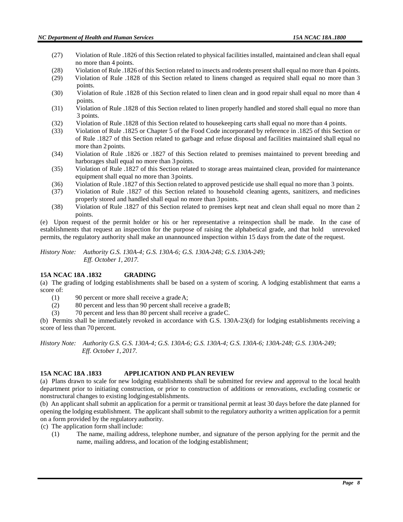- (27) Violation of Rule .1826 of this Section related to physical facilities installed, maintained and clean shall equal no more than 4 points.
- (28) Violation of Rule .1826 of this Section related to insects and rodents presentshall equal no more than 4 points.
- (29) Violation of Rule .1828 of this Section related to linens changed as required shall equal no more than 3 points.
- (30) Violation of Rule .1828 of this Section related to linen clean and in good repair shall equal no more than 4 points.
- (31) Violation of Rule .1828 of this Section related to linen properly handled and stored shall equal no more than 3 points.
- (32) Violation of Rule .1828 of this Section related to house keeping carts shall equal no more than 4 points.<br>(33) Violation of Rule .1825 or Chapter 5 of the Food Code incorporated by reference in .1825 of this Section
- (33) Violation of Rule .1825 or Chapter 5 of the Food Code incorporated by reference in .1825 of this Section or of Rule .1827 of this Section related to garbage and refuse disposal and facilities maintained shall equal no more than 2 points.
- (34) Violation of Rule .1826 or .1827 of this Section related to premises maintained to prevent breeding and harborages shall equal no more than 3 points.
- (35) Violation of Rule .1827 of this Section related to storage areas maintained clean, provided for maintenance equipment shall equal no more than 3 points.
- (36) Violation of Rule .1827 of this Section related to approved pesticide use shall equal no more than 3 points.
- (37) Violation of Rule .1827 of this Section related to household cleaning agents, sanitizers, and medicines properly stored and handled shall equal no more than 3points.
- (38) Violation of Rule .1827 of this Section related to premises kept neat and clean shall equal no more than 2 points.

(e) Upon request of the permit holder or his or her representative a reinspection shall be made. In the case of establishments that request an inspection for the purpose of raising the alphabetical grade, and that hold unrevoked permits, the regulatory authority shall make an unannounced inspection within 15 days from the date of the request.

*History Note: Authority G.S. 130A-4; G.S. 130A-6; G.S. 130A-248; G.S.130A-249; Eff. October 1, 2017.*

## **15A NCAC 18A .1832 GRADING**

(a) The grading of lodging establishments shall be based on a system of scoring. A lodging establishment that earns a score of:

- (1) 90 percent or more shall receive a gradeA;
- (2) 80 percent and less than 90 percent shall receive a gradeB;
- (3) 70 percent and less than 80 percent shall receive a gradeC.

(b) Permits shall be immediately revoked in accordance with G.S. 130A-23(d) for lodging establishments receiving a score of less than 70 percent.

*History Note: Authority G.S. G.S. 130A-4; G.S. 130A-6; G.S. 130A-4; G.S. 130A-6; 130A-248; G.S. 130A-249; Eff. October 1, 2017.*

## **15A NCAC 18A .1833 APPLICATION AND PLAN REVIEW**

(a) Plans drawn to scale for new lodging establishments shall be submitted for review and approval to the local health department prior to initiating construction, or prior to construction of additions or renovations, excluding cosmetic or nonstructural changes to existing lodgingestablishments.

(b) An applicant shall submit an application for a permit or transitional permit at least 30 days before the date planned for opening the lodging establishment. The applicant shall submit to the regulatory authority a written application for a permit on a form provided by the regulatory authority.

(c) The application form shall include:

(1) The name, mailing address, telephone number, and signature of the person applying for the permit and the name, mailing address, and location of the lodging establishment;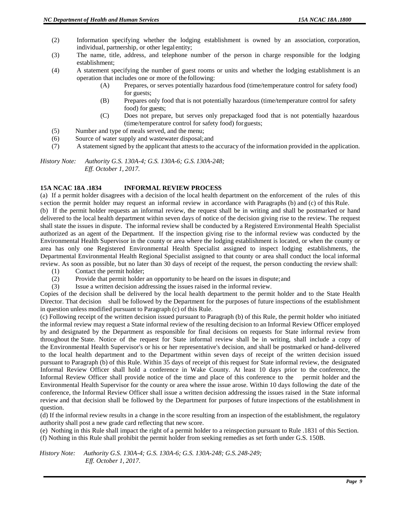- (2) Information specifying whether the lodging establishment is owned by an association, corporation, individual, partnership, or other legal entity;
- (3) The name, title, address, and telephone number of the person in charge responsible for the lodging establishment;
- (4) A statement specifying the number of guest rooms or units and whether the lodging establishment is an operation that includes one or more of the following:
	- (A) Prepares, or serves potentially hazardous food (time/temperature control for safety food) for guests;
	- (B) Prepares only food that is not potentially hazardous (time/temperature control for safety food) for guests;
	- (C) Does not prepare, but serves only prepackaged food that is not potentially hazardous (time/temperature control for safety food) forguests;
- (5) Number and type of meals served, and the menu;
- (6) Source of water supply and wastewater disposal;and
- (7) A statement signed by the applicant that attests to the accuracy of the information provided in the application.

*History Note: Authority G.S. 130A-4; G.S. 130A-6; G.S. 130A-248; Eff. October 1, 2017.*

#### **15A NCAC 18A .1834 INFORMAL REVIEW PROCESS**

(a) If a permit holder disagrees with a decision of the local health department on the enforcement of the rules of this s ection the permit holder may request an informal review in accordance with Paragraphs (b) and (c) of this Rule. (b) If the permit holder requests an informal review, the request shall be in writing and shall be postmarked or hand delivered to the local health department within seven days of notice of the decision giving rise to the review. The request shall state the issues in dispute. The informal review shall be conducted by a Registered Environmental Health Specialist authorized as an agent of the Department. If the inspection giving rise to the informal review was conducted by the Environmental Health Supervisor in the county or area where the lodging establishment is located, or when the county or area has only one Registered Environmental Health Specialist assigned to inspect lodging establishments, the Departmental Environmental Health Regional Specialist assigned to that county or area shall conduct the local informal review. As soon as possible, but no later than 30 days of receipt of the request, the person conducting the review shall:

- (1) Contact the permit holder;
- (2) Provide that permit holder an opportunity to be heard on the issues in dispute;and
- (3) Issue a written decision addressing the issues raised in the informal review.

Copies of the decision shall be delivered by the local health department to the permit holder and to the State Health Director. That decision shall be followed by the Department for the purposes of future inspections of the establishment in question unless modified pursuant to Paragraph (c) of this Rule.

(c) Following receipt of the written decision issued pursuant to Paragraph (b) of this Rule, the permit holder who initiated the informal review may request a State informal review of the resulting decision to an Informal Review Officer employed by and designated by the Department as responsible for final decisions on requests for State informal review from throughout the State. Notice of the request for State informal review shall be in writing, shall include a copy of the Environmental Health Supervisor's or his or her representative's decision, and shall be postmarked or hand-delivered to the local health department and to the Department within seven days of receipt of the written decision issued pursuant to Paragraph (b) of this Rule. Within 35 days of receipt of this request for State informal review, the designated Informal Review Officer shall hold a conference in Wake County. At least 10 days prior to the conference, the Informal Review Officer shall provide notice of the time and place of this conference to the permit holder and the Environmental Health Supervisor for the county or area where the issue arose. Within 10 days following the date of the conference, the Informal Review Officer shall issue a written decision addressing the issues raised in the State informal review and that decision shall be followed by the Department for purposes of future inspections of the establishment in question.

(d) If the informal review results in a change in the score resulting from an inspection of the establishment, the regulatory authority shall post a new grade card reflecting that new score.

(e) Nothing in this Rule shall impact the right of a permit holder to a reinspection pursuant to Rule .1831 of this Section. (f) Nothing in this Rule shall prohibit the permit holder from seeking remedies as set forth under G.S. 150B.

 *History Note: Authority G.S. 130A-4; G.S. 130A-6; G.S. 130A-248; G.S. 248-249; Eff. October 1, 2017.*